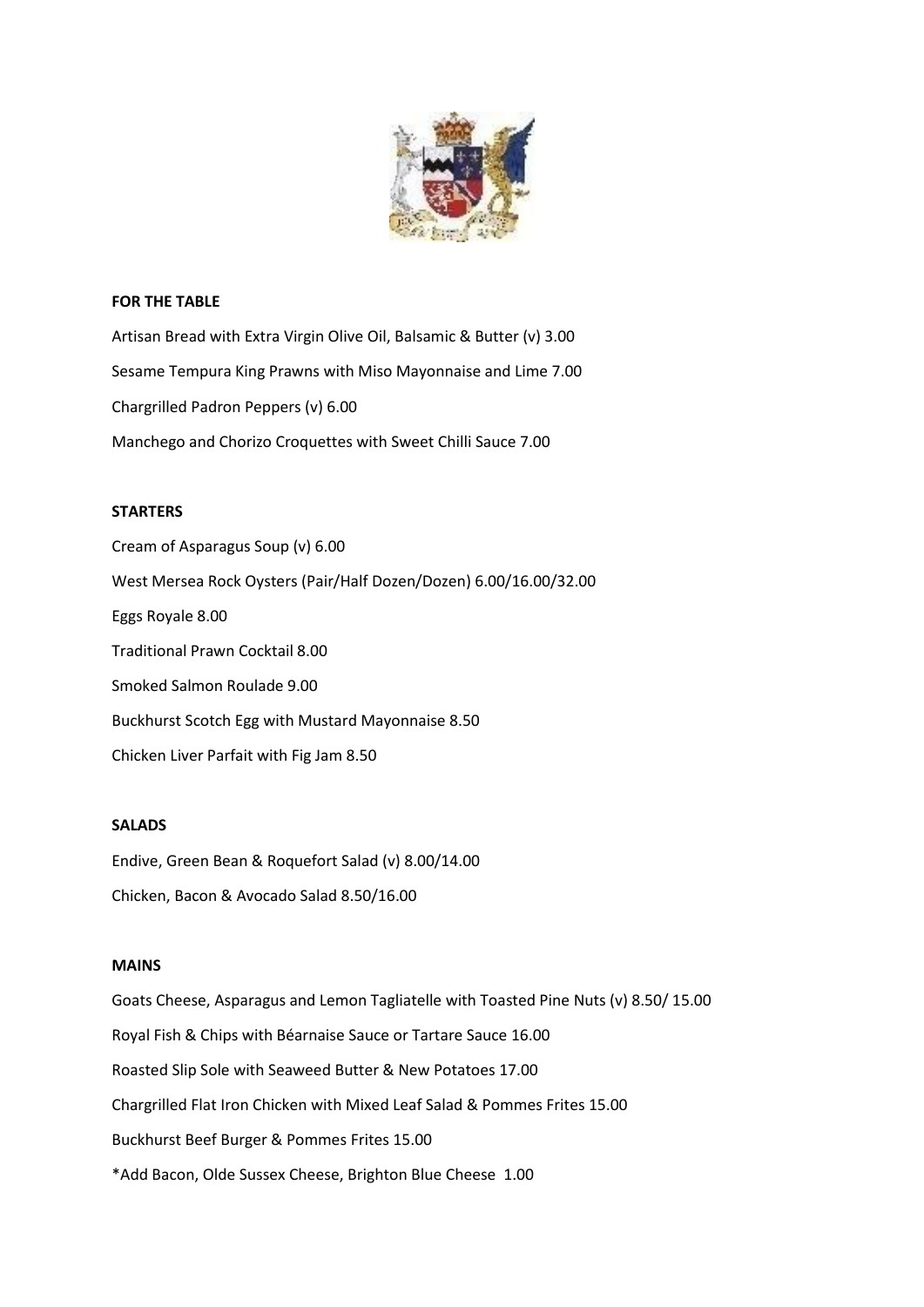

# **FOR THE TABLE**

Artisan Bread with Extra Virgin Olive Oil, Balsamic & Butter (v) 3.00 Sesame Tempura King Prawns with Miso Mayonnaise and Lime 7.00 Chargrilled Padron Peppers (v) 6.00 Manchego and Chorizo Croquettes with Sweet Chilli Sauce 7.00

# **STARTERS**

Cream of Asparagus Soup (v) 6.00 West Mersea Rock Oysters (Pair/Half Dozen/Dozen) 6.00/16.00/32.00 Eggs Royale 8.00 Traditional Prawn Cocktail 8.00 Smoked Salmon Roulade 9.00 Buckhurst Scotch Egg with Mustard Mayonnaise 8.50 Chicken Liver Parfait with Fig Jam 8.50

## **SALADS**

Endive, Green Bean & Roquefort Salad (v) 8.00/14.00 Chicken, Bacon & Avocado Salad 8.50/16.00

## **MAINS**

Goats Cheese, Asparagus and Lemon Tagliatelle with Toasted Pine Nuts (v) 8.50/ 15.00 Royal Fish & Chips with Béarnaise Sauce or Tartare Sauce 16.00 Roasted Slip Sole with Seaweed Butter & New Potatoes 17.00 Chargrilled Flat Iron Chicken with Mixed Leaf Salad & Pommes Frites 15.00 Buckhurst Beef Burger & Pommes Frites 15.00 \*Add Bacon, Olde Sussex Cheese, Brighton Blue Cheese 1.00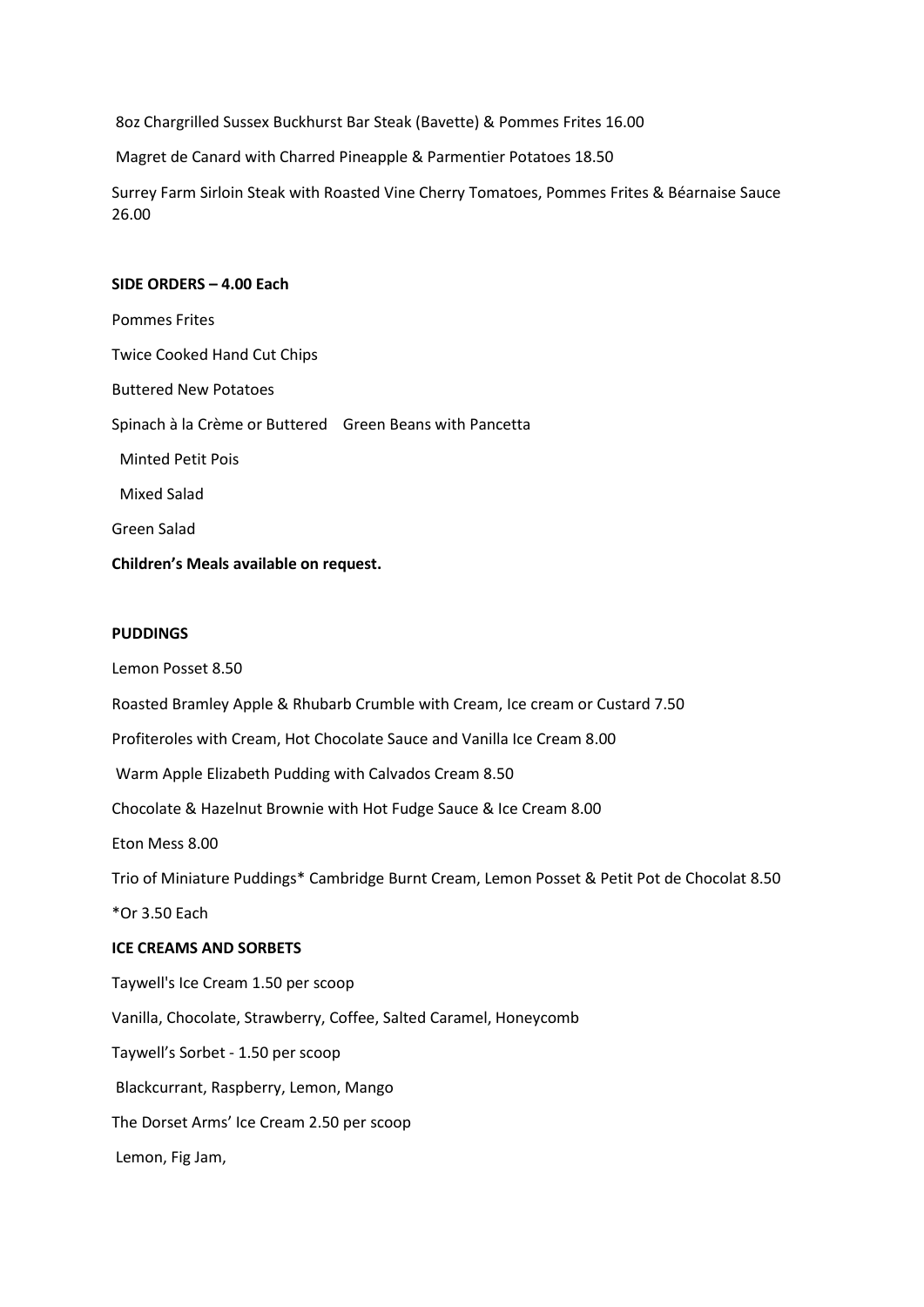8oz Chargrilled Sussex Buckhurst Bar Steak (Bavette) & Pommes Frites 16.00

Magret de Canard with Charred Pineapple & Parmentier Potatoes 18.50

Surrey Farm Sirloin Steak with Roasted Vine Cherry Tomatoes, Pommes Frites & Béarnaise Sauce 26.00

# **SIDE ORDERS – 4.00 Each**

Pommes Frites Twice Cooked Hand Cut Chips Buttered New Potatoes Spinach à la Crème or Buttered Green Beans with Pancetta Minted Petit Pois Mixed Salad Green Salad

**Children's Meals available on request.**

## **PUDDINGS**

Lemon Posset 8.50

Roasted Bramley Apple & Rhubarb Crumble with Cream, Ice cream or Custard 7.50

Profiteroles with Cream, Hot Chocolate Sauce and Vanilla Ice Cream 8.00

Warm Apple Elizabeth Pudding with Calvados Cream 8.50

Chocolate & Hazelnut Brownie with Hot Fudge Sauce & Ice Cream 8.00

Eton Mess 8.00

Trio of Miniature Puddings\* Cambridge Burnt Cream, Lemon Posset & Petit Pot de Chocolat 8.50

\*Or 3.50 Each

## **ICE CREAMS AND SORBETS**

Taywell's Ice Cream 1.50 per scoop Vanilla, Chocolate, Strawberry, Coffee, Salted Caramel, Honeycomb Taywell's Sorbet - 1.50 per scoop Blackcurrant, Raspberry, Lemon, Mango The Dorset Arms' Ice Cream 2.50 per scoop Lemon, Fig Jam,